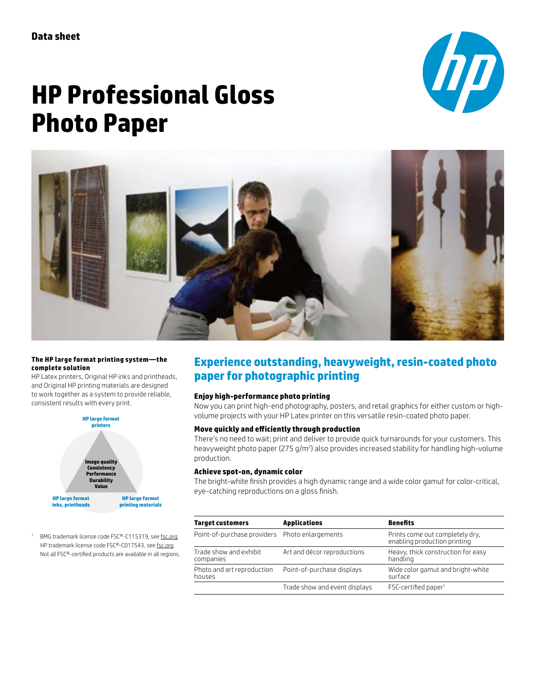

# **HP Professional Gloss Photo Paper**



#### **The HP large format printing system—the complete solution**

HP Latex printers, Original HP inks and printheads, and Original HP printing materials are designed to work together as a system to provide reliable, consistent results with every print.



<sup>1</sup> BMG trademark license code FSC®-C115319, see [fsc.org.](https://us.fsc.org/) HP trademark license code FSC®-C017543, see [fsc.org](https://us.fsc.org/). Not all FSC®-certified products are available in all regions.

## **Experience outstanding, heavyweight, resin-coated photo paper for photographic printing**

### **Enjoy high-performance photo printing**

Now you can print high-end photography, posters, and retail graphics for either custom or highvolume projects with your HP Latex printer on this versatile resin-coated photo paper.

## **Move quickly and efficiently through production**

There's no need to wait; print and deliver to provide quick turnarounds for your customers. This heavyweight photo paper (275 g/m²) also provides increased stability for handling high-volume production.

#### **Achieve spot-on, dynamic color**

The bright-white finish provides a high dynamic range and a wide color gamut for color-critical, eye-catching reproductions on a gloss finish.

| <b>Target customers</b>                        | <b>Applications</b>           | <b>Benefits</b>                                                 |  |  |
|------------------------------------------------|-------------------------------|-----------------------------------------------------------------|--|--|
| Point-of-purchase providers Photo enlargements |                               | Prints come out completely dry.<br>enabling production printing |  |  |
| Trade show and exhibit<br>companies            | Art and décor reproductions   | Heavy, thick construction for easy<br>handling                  |  |  |
| Photo and art reproduction<br>houses           | Point-of-purchase displays    | Wide color gamut and bright-white<br>surface                    |  |  |
|                                                | Trade show and event displays | $FSC$ -certified paper <sup>1</sup>                             |  |  |